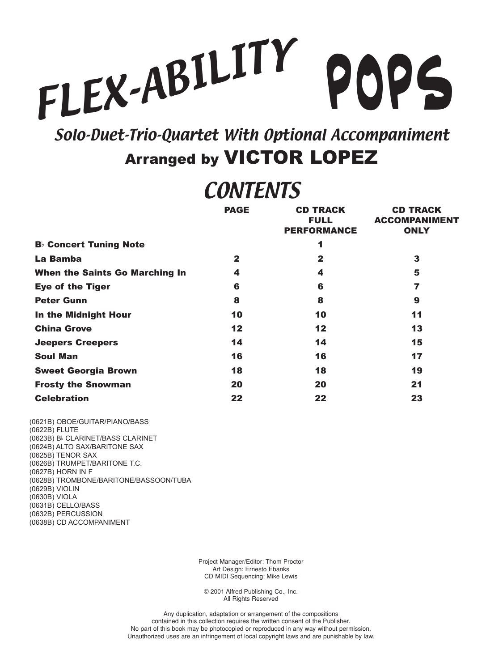## FLEX-ABILITY **POPS**

Solo-Duet-Trio-Quartet With Optional Accompaniment **Arranged by VICTOR LOPEZ** 

## **CONTENTS**

|                                       | <b>PAGE</b>  | <b>CD TRACK</b><br><b>FULL</b><br><b>PERFORMANCE</b> | <b>CD TRACK</b><br><b>ACCOMPANIMENT</b><br><b>ONLY</b> |
|---------------------------------------|--------------|------------------------------------------------------|--------------------------------------------------------|
| <b>B</b> Concert Tuning Note          |              | 1                                                    |                                                        |
| La Bamba                              | $\mathbf{2}$ | $\mathbf{2}$                                         | 3                                                      |
| <b>When the Saints Go Marching In</b> | 4            | 4                                                    | 5                                                      |
| <b>Eye of the Tiger</b>               | 6            | 6                                                    | 7                                                      |
| <b>Peter Gunn</b>                     | 8            | 8                                                    | 9                                                      |
| In the Midnight Hour                  | 10           | 10                                                   | 11                                                     |
| <b>China Grove</b>                    | 12           | 12                                                   | 13                                                     |
| <b>Jeepers Creepers</b>               | 14           | 14                                                   | 15                                                     |
| <b>Soul Man</b>                       | 16           | 16                                                   | 17                                                     |
| <b>Sweet Georgia Brown</b>            | 18           | 18                                                   | 19                                                     |
| <b>Frosty the Snowman</b>             | 20           | 20                                                   | 21                                                     |
| <b>Celebration</b>                    | 22           | 22                                                   | 23                                                     |

(0621B) OBOE/GUITAR/PIANO/BASS (0622B) FLUTE (0623B) B CLARINET/BASS CLARINET (0624B) ALTO SAX/BARITONE SAX (0625B) TENOR SAX (0626B) TRUMPET/BARITONE T.C. (0627B) HORN IN F (0628B) TROMBONE/BARITONE/BASSOON/TUBA (0629B) VIOLIN (0630B) VIOLA (0631B) CELLO/BASS (0632B) PERCUSSION (0638B) CD ACCOMPANIMENT

> Project Manager/Editor: Thom Proctor Art Design: Ernesto Ebanks CD MIDI Sequencing: Mike Lewis

© 2001 Alfred Publishing Co., Inc. All Rights Reserved

Any duplication, adaptation or arrangement of the compositions contained in this collection requires the written consent of the Publisher. No part of this book may be photocopied or reproduced in any way without permission. Unauthorized uses are an infringement of local copyright laws and are punishable by law.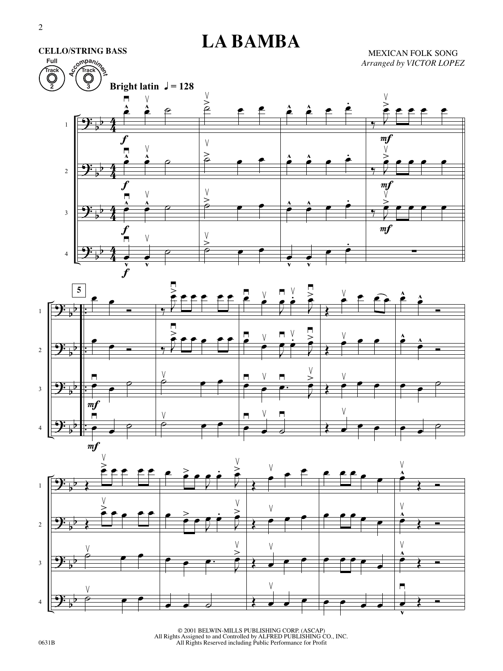**Full**

**CELLO/STRING BASS**

## **LA BAMBA**

MEXICAN FOLK SONG *Arranged by VICTOR LOPEZ*







© 2001 BELWIN-MILLS PUBLISHING CORP. (ASCAP) All Rights Assigned to and Controlled by ALFRED PUBLISHING CO., INC. All Rights Reserved including Public Performance for Profit